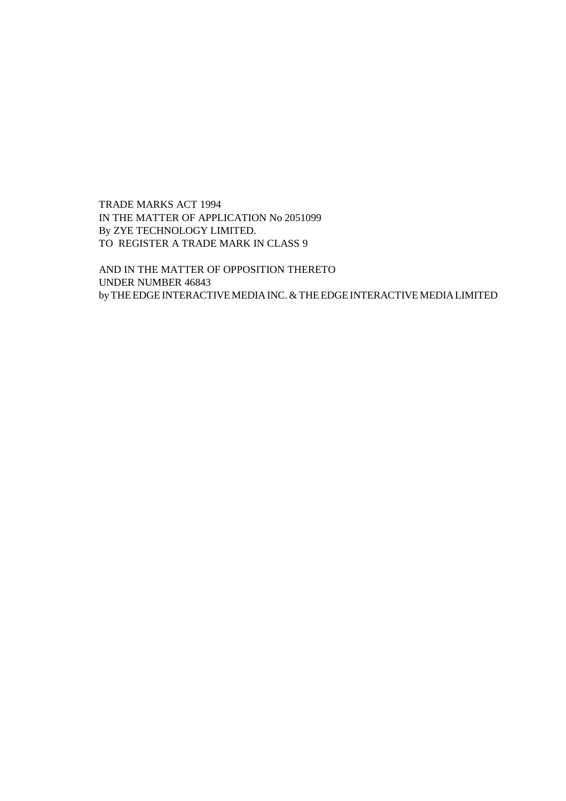TRADE MARKS ACT 1994 IN THE MATTER OF APPLICATION No 2051099 By ZYE TECHNOLOGY LIMITED. TO REGISTER A TRADE MARK IN CLASS 9

AND IN THE MATTER OF OPPOSITION THERETO UNDER NUMBER 46843 by THE EDGE INTERACTIVE MEDIA INC. & THE EDGE INTERACTIVE MEDIA LIMITED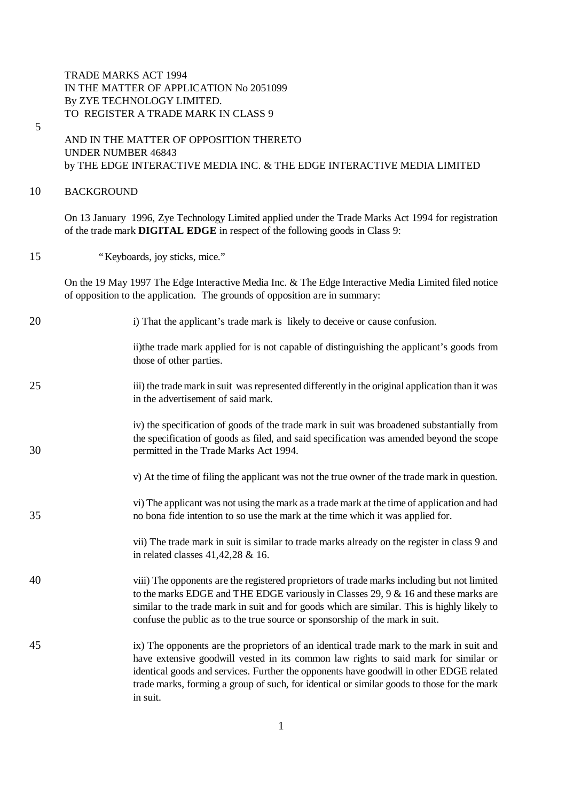## TRADE MARKS ACT 1994 IN THE MATTER OF APPLICATION No 2051099 By ZYE TECHNOLOGY LIMITED. TO REGISTER A TRADE MARK IN CLASS 9

5

## AND IN THE MATTER OF OPPOSITION THERETO UNDER NUMBER 46843 by THE EDGE INTERACTIVE MEDIA INC. & THE EDGE INTERACTIVE MEDIA LIMITED

## 10 BACKGROUND

On 13 January 1996, Zye Technology Limited applied under the Trade Marks Act 1994 for registration of the trade mark **DIGITAL EDGE** in respect of the following goods in Class 9:

15 "Keyboards, joy sticks, mice."

On the 19 May 1997 The Edge Interactive Media Inc. & The Edge Interactive Media Limited filed notice of opposition to the application. The grounds of opposition are in summary:

20 i) That the applicant's trade mark is likely to deceive or cause confusion.

ii)the trade mark applied for is not capable of distinguishing the applicant's goods from those of other parties.

- 25 iii) the trade mark in suit was represented differently in the original application than it was in the advertisement of said mark.
- iv) the specification of goods of the trade mark in suit was broadened substantially from the specification of goods as filed, and said specification was amended beyond the scope 30 permitted in the Trade Marks Act 1994.
	- v) At the time of filing the applicant was not the true owner of the trade mark in question.
- vi) The applicant was not using the mark as a trade mark at the time of application and had 35 no bona fide intention to so use the mark at the time which it was applied for.
	- vii) The trade mark in suit is similar to trade marks already on the register in class 9 and in related classes 41,42,28 & 16.
- 40 viii) The opponents are the registered proprietors of trade marks including but not limited to the marks EDGE and THE EDGE variously in Classes 29, 9 & 16 and these marks are similar to the trade mark in suit and for goods which are similar. This is highly likely to confuse the public as to the true source or sponsorship of the mark in suit.
- 45 ix) The opponents are the proprietors of an identical trade mark to the mark in suit and have extensive goodwill vested in its common law rights to said mark for similar or identical goods and services. Further the opponents have goodwill in other EDGE related trade marks, forming a group of such, for identical or similar goods to those for the mark in suit.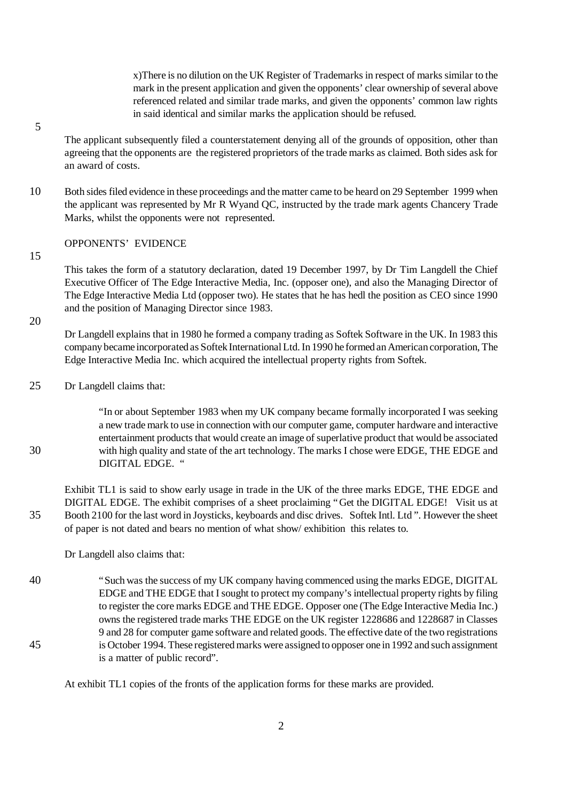x)There is no dilution on the UK Register of Trademarks in respect of marks similar to the mark in the present application and given the opponents' clear ownership of several above referenced related and similar trade marks, and given the opponents' common law rights in said identical and similar marks the application should be refused.

- The applicant subsequently filed a counterstatement denying all of the grounds of opposition, other than agreeing that the opponents are the registered proprietors of the trade marks as claimed. Both sides ask for an award of costs.
- 10 Both sides filed evidence in these proceedings and the matter came to be heard on 29 September 1999 when the applicant was represented by Mr R Wyand QC, instructed by the trade mark agents Chancery Trade Marks, whilst the opponents were not represented.

OPPONENTS' EVIDENCE

15

20

5

This takes the form of a statutory declaration, dated 19 December 1997, by Dr Tim Langdell the Chief Executive Officer of The Edge Interactive Media, Inc. (opposer one), and also the Managing Director of The Edge Interactive Media Ltd (opposer two). He states that he has hedl the position as CEO since 1990 and the position of Managing Director since 1983.

Dr Langdell explains that in 1980 he formed a company trading as Softek Software in the UK. In 1983 this company became incorporated as Softek International Ltd. In 1990 he formed an American corporation, The Edge Interactive Media Inc. which acquired the intellectual property rights from Softek.

25 Dr Langdell claims that:

"In or about September 1983 when my UK company became formally incorporated I was seeking a new trade mark to use in connection with our computer game, computer hardware and interactive entertainment products that would create an image of superlative product that would be associated 30 with high quality and state of the art technology. The marks I chose were EDGE, THE EDGE and DIGITAL EDGE. "

Exhibit TL1 is said to show early usage in trade in the UK of the three marks EDGE, THE EDGE and DIGITAL EDGE. The exhibit comprises of a sheet proclaiming "Get the DIGITAL EDGE! Visit us at 35 Booth 2100 for the last word in Joysticks, keyboards and disc drives. Softek Intl. Ltd ". However the sheet of paper is not dated and bears no mention of what show/ exhibition this relates to.

Dr Langdell also claims that:

40 "Such was the success of my UK company having commenced using the marks EDGE, DIGITAL EDGE and THE EDGE that I sought to protect my company's intellectual property rights by filing to register the core marks EDGE and THE EDGE. Opposer one (The Edge Interactive Media Inc.) owns the registered trade marks THE EDGE on the UK register 1228686 and 1228687 in Classes 9 and 28 for computer game software and related goods. The effective date of the two registrations 45 is October 1994. These registered marks were assigned to opposer one in 1992 and such assignment is a matter of public record".

At exhibit TL1 copies of the fronts of the application forms for these marks are provided.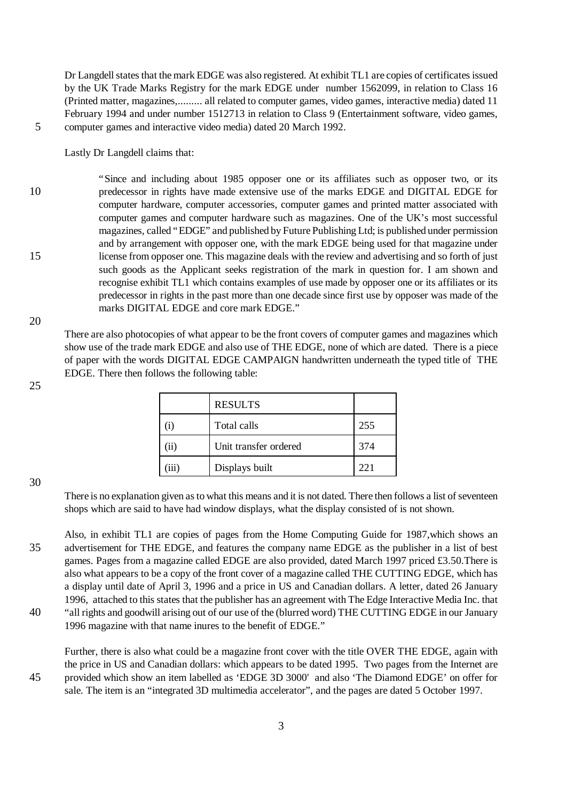Dr Langdell states that the mark EDGE was also registered. At exhibit TL1 are copies of certificates issued by the UK Trade Marks Registry for the mark EDGE under number 1562099, in relation to Class 16 (Printed matter, magazines,......... all related to computer games, video games, interactive media) dated 11 February 1994 and under number 1512713 in relation to Class 9 (Entertainment software, video games, 5 computer games and interactive video media) dated 20 March 1992.

Lastly Dr Langdell claims that:

"Since and including about 1985 opposer one or its affiliates such as opposer two, or its 10 predecessor in rights have made extensive use of the marks EDGE and DIGITAL EDGE for computer hardware, computer accessories, computer games and printed matter associated with computer games and computer hardware such as magazines. One of the UK's most successful magazines, called "EDGE" and published by Future Publishing Ltd; is published under permission and by arrangement with opposer one, with the mark EDGE being used for that magazine under 15 license from opposer one. This magazine deals with the review and advertising and so forth of just such goods as the Applicant seeks registration of the mark in question for. I am shown and recognise exhibit TL1 which contains examples of use made by opposer one or its affiliates or its predecessor in rights in the past more than one decade since first use by opposer was made of the marks DIGITAL EDGE and core mark EDGE."

There are also photocopies of what appear to be the front covers of computer games and magazines which show use of the trade mark EDGE and also use of THE EDGE, none of which are dated. There is a piece of paper with the words DIGITAL EDGE CAMPAIGN handwritten underneath the typed title of THE EDGE. There then follows the following table:

25

20

|     | <b>RESULTS</b>        |     |
|-----|-----------------------|-----|
|     | Total calls           | 255 |
| 11) | Unit transfer ordered | 374 |
| 111 | Displays built        | 221 |

30

There is no explanation given as to what this means and it is not dated. There then follows a list of seventeen shops which are said to have had window displays, what the display consisted of is not shown.

Also, in exhibit TL1 are copies of pages from the Home Computing Guide for 1987,which shows an 35 advertisement for THE EDGE, and features the company name EDGE as the publisher in a list of best games. Pages from a magazine called EDGE are also provided, dated March 1997 priced £3.50.There is also what appears to be a copy of the front cover of a magazine called THE CUTTING EDGE, which has a display until date of April 3, 1996 and a price in US and Canadian dollars. A letter, dated 26 January 1996, attached to this states that the publisher has an agreement with The Edge Interactive Media Inc. that 40 "all rights and goodwill arising out of our use of the (blurred word) THE CUTTING EDGE in our January 1996 magazine with that name inures to the benefit of EDGE."

Further, there is also what could be a magazine front cover with the title OVER THE EDGE, again with the price in US and Canadian dollars: which appears to be dated 1995. Two pages from the Internet are 45 provided which show an item labelled as 'EDGE 3D 3000' and also 'The Diamond EDGE' on offer for sale. The item is an "integrated 3D multimedia accelerator", and the pages are dated 5 October 1997.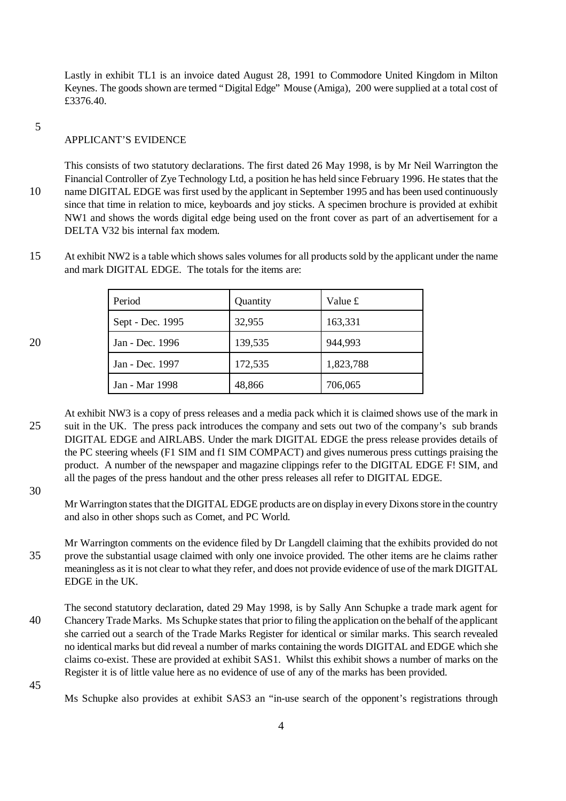Lastly in exhibit TL1 is an invoice dated August 28, 1991 to Commodore United Kingdom in Milton Keynes. The goods shown are termed "Digital Edge" Mouse (Amiga), 200 were supplied at a total cost of £3376.40.

5

## APPLICANT'S EVIDENCE

This consists of two statutory declarations. The first dated 26 May 1998, is by Mr Neil Warrington the Financial Controller of Zye Technology Ltd, a position he has held since February 1996. He states that the 10 name DIGITAL EDGE was first used by the applicant in September 1995 and has been used continuously since that time in relation to mice, keyboards and joy sticks. A specimen brochure is provided at exhibit NW1 and shows the words digital edge being used on the front cover as part of an advertisement for a DELTA V32 bis internal fax modem.

15 At exhibit NW2 is a table which shows sales volumes for all products sold by the applicant under the name and mark DIGITAL EDGE. The totals for the items are:

|    | Period           | Quantity | Value £   |  |
|----|------------------|----------|-----------|--|
| 20 | Sept - Dec. 1995 | 32,955   | 163,331   |  |
|    | Jan - Dec. 1996  | 139,535  | 944,993   |  |
|    | Jan - Dec. 1997  | 172,535  | 1,823,788 |  |
|    | Jan - Mar 1998   | 48,866   | 706,065   |  |

At exhibit NW3 is a copy of press releases and a media pack which it is claimed shows use of the mark in 25 suit in the UK. The press pack introduces the company and sets out two of the company's sub brands DIGITAL EDGE and AIRLABS. Under the mark DIGITAL EDGE the press release provides details of the PC steering wheels (F1 SIM and f1 SIM COMPACT) and gives numerous press cuttings praising the product. A number of the newspaper and magazine clippings refer to the DIGITAL EDGE F! SIM, and all the pages of the press handout and the other press releases all refer to DIGITAL EDGE.

30

Mr Warrington states that the DIGITAL EDGE products are on display in every Dixons store in the country and also in other shops such as Comet, and PC World.

Mr Warrington comments on the evidence filed by Dr Langdell claiming that the exhibits provided do not 35 prove the substantial usage claimed with only one invoice provided. The other items are he claims rather meaningless as it is not clear to what they refer, and does not provide evidence of use of the mark DIGITAL EDGE in the UK.

The second statutory declaration, dated 29 May 1998, is by Sally Ann Schupke a trade mark agent for 40 Chancery Trade Marks. Ms Schupke states that prior to filing the application on the behalf of the applicant she carried out a search of the Trade Marks Register for identical or similar marks. This search revealed no identical marks but did reveal a number of marks containing the words DIGITAL and EDGE which she claims co-exist. These are provided at exhibit SAS1. Whilst this exhibit shows a number of marks on the Register it is of little value here as no evidence of use of any of the marks has been provided.

45

Ms Schupke also provides at exhibit SAS3 an "in-use search of the opponent's registrations through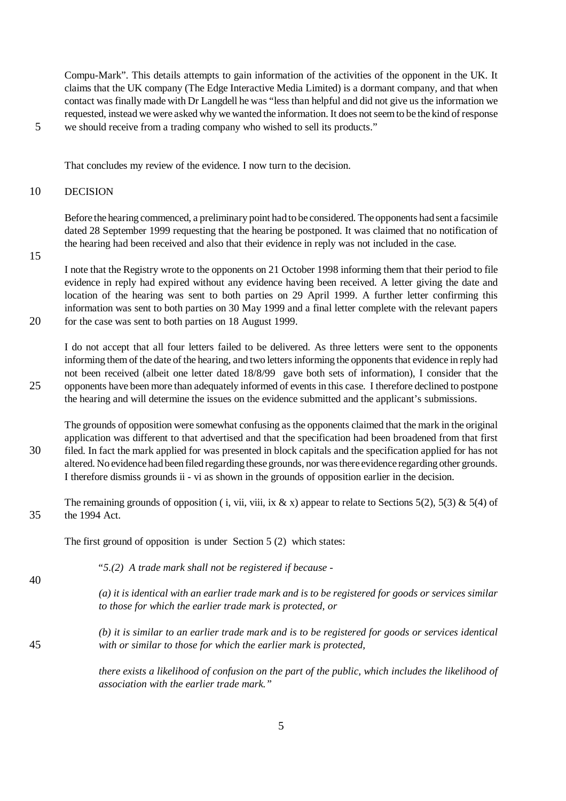Compu-Mark". This details attempts to gain information of the activities of the opponent in the UK. It claims that the UK company (The Edge Interactive Media Limited) is a dormant company, and that when contact was finally made with Dr Langdell he was "less than helpful and did not give us the information we requested, instead we were asked why we wanted the information. It does not seem to be the kind of response 5 we should receive from a trading company who wished to sell its products."

That concludes my review of the evidence. I now turn to the decision.

10 DECISION

Before the hearing commenced, a preliminary point had to be considered. The opponents had sent a facsimile dated 28 September 1999 requesting that the hearing be postponed. It was claimed that no notification of the hearing had been received and also that their evidence in reply was not included in the case.

15

I note that the Registry wrote to the opponents on 21 October 1998 informing them that their period to file evidence in reply had expired without any evidence having been received. A letter giving the date and location of the hearing was sent to both parties on 29 April 1999. A further letter confirming this information was sent to both parties on 30 May 1999 and a final letter complete with the relevant papers 20 for the case was sent to both parties on 18 August 1999.

I do not accept that all four letters failed to be delivered. As three letters were sent to the opponents informing them of the date of the hearing, and two letters informing the opponents that evidence in reply had not been received (albeit one letter dated 18/8/99 gave both sets of information), I consider that the 25 opponents have been more than adequately informed of events in this case. I therefore declined to postpone the hearing and will determine the issues on the evidence submitted and the applicant's submissions.

The grounds of opposition were somewhat confusing as the opponents claimed that the mark in the original application was different to that advertised and that the specification had been broadened from that first 30 filed. In fact the mark applied for was presented in block capitals and the specification applied for has not altered. No evidence had been filed regarding these grounds, nor was there evidence regarding other grounds. I therefore dismiss grounds ii - vi as shown in the grounds of opposition earlier in the decision.

The remaining grounds of opposition (i, vii, viii, ix & x) appear to relate to Sections 5(2), 5(3) & 5(4) of 35 the 1994 Act.

The first ground of opposition is under Section 5 (2) which states:

- *"5.(2) A trade mark shall not be registered if because*  40
	- *(a) it is identical with an earlier trade mark and is to be registered for goods or services similar to those for which the earlier trade mark is protected, or*
	- *(b) it is similar to an earlier trade mark and is to be registered for goods or services identical* 45 *with or similar to those for which the earlier mark is protected,*

*there exists a likelihood of confusion on the part of the public, which includes the likelihood of association with the earlier trade mark."*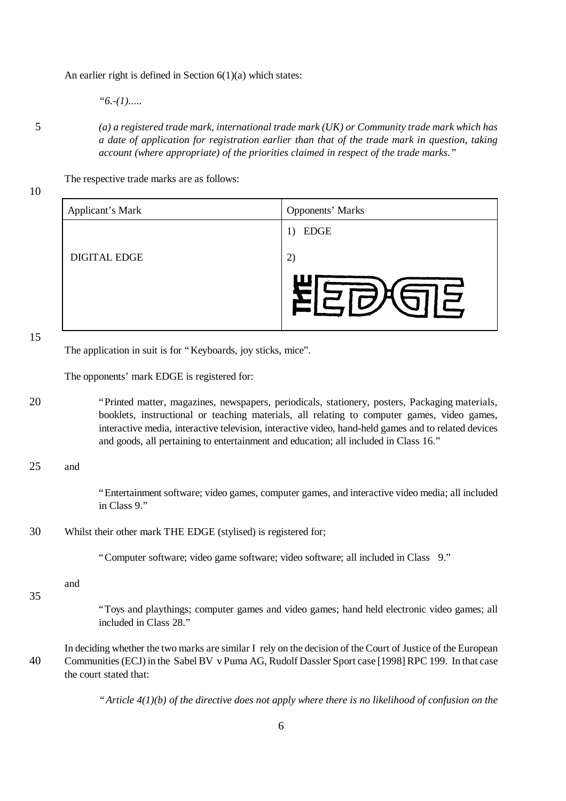An earlier right is defined in Section  $6(1)(a)$  which states:

*"6.-(1).....*

5 *(a) a registered trade mark, international trade mark (UK) or Community trade mark which has a date of application for registration earlier than that of the trade mark in question, taking account (where appropriate) of the priorities claimed in respect of the trade marks."*

The respective trade marks are as follows:

10

| <b>Applicant's Mark</b> | <b>Opponents' Marks</b> |
|-------------------------|-------------------------|
|                         | <b>EDGE</b><br>1)       |
| <b>DIGITAL EDGE</b>     | 2)                      |
|                         |                         |
|                         |                         |
|                         |                         |

15

The application in suit is for "Keyboards, joy sticks, mice".

The opponents' mark EDGE is registered for:

20 "Printed matter, magazines, newspapers, periodicals, stationery, posters, Packaging materials, booklets, instructional or teaching materials, all relating to computer games, video games, interactive media, interactive television, interactive video, hand-held games and to related devices and goods, all pertaining to entertainment and education; all included in Class 16."

25 and

"Entertainment software; video games, computer games, and interactive video media; all included in Class 9."

30 Whilst their other mark THE EDGE (stylised) is registered for;

"Computer software; video game software; video software; all included in Class 9."

35

and

"Toys and playthings; computer games and video games; hand held electronic video games; all included in Class 28."

In deciding whether the two marks are similar I rely on the decision of the Court of Justice of the European 40 Communities (ECJ) in the Sabel BV v Puma AG, Rudolf Dassler Sport case [1998] RPC 199. In that case the court stated that:

*"Article 4(1)(b) of the directive does not apply where there is no likelihood of confusion on the*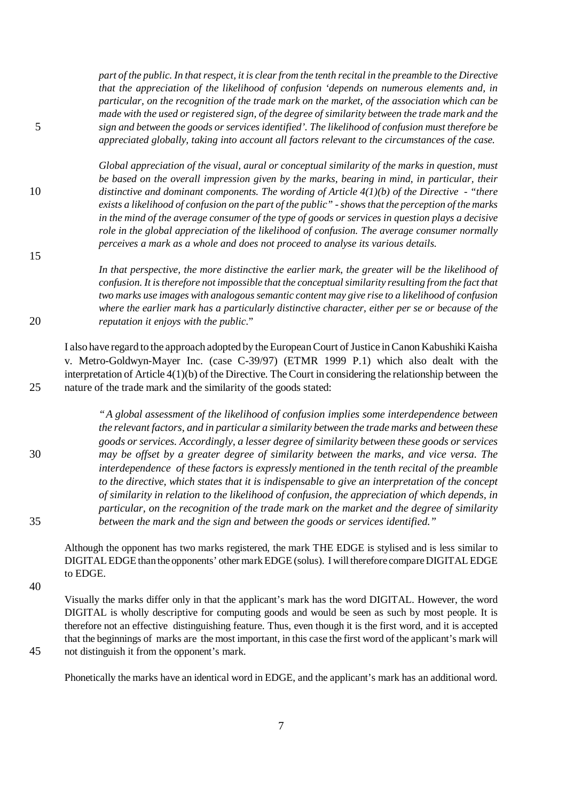*part of the public. In that respect, it is clear from the tenth recital in the preamble to the Directive that the appreciation of the likelihood of confusion 'depends on numerous elements and, in particular, on the recognition of the trade mark on the market, of the association which can be made with the used or registered sign, of the degree of similarity between the trade mark and the* 5 *sign and between the goods or services identified'. The likelihood of confusion must therefore be appreciated globally, taking into account all factors relevant to the circumstances of the case.*

*Global appreciation of the visual, aural or conceptual similarity of the marks in question, must be based on the overall impression given by the marks, bearing in mind, in particular, their* 10 *distinctive and dominant components. The wording of Article 4(1)(b) of the Directive - "there exists a likelihood of confusion on the part of the public" - shows that the perception of the marks in the mind of the average consumer of the type of goods or services in question plays a decisive role in the global appreciation of the likelihood of confusion. The average consumer normally perceives a mark as a whole and does not proceed to analyse its various details.*

15

*In that perspective, the more distinctive the earlier mark, the greater will be the likelihood of confusion. It is therefore not impossible that the conceptual similarity resulting from the fact that two marks use images with analogous semantic content may give rise to a likelihood of confusion where the earlier mark has a particularly distinctive character, either per se or because of the* 20 *reputation it enjoys with the public*."

I also have regard to the approach adopted by the European Court of Justice in Canon Kabushiki Kaisha v. Metro-Goldwyn-Mayer Inc. (case C-39/97) (ETMR 1999 P.1) which also dealt with the interpretation of Article  $4(1)(b)$  of the Directive. The Court in considering the relationship between the 25 nature of the trade mark and the similarity of the goods stated:

*"A global assessment of the likelihood of confusion implies some interdependence between the relevant factors, and in particular a similarity between the trade marks and between these goods or services. Accordingly, a lesser degree of similarity between these goods or services* 30 *may be offset by a greater degree of similarity between the marks, and vice versa. The interdependence of these factors is expressly mentioned in the tenth recital of the preamble to the directive, which states that it is indispensable to give an interpretation of the concept of similarity in relation to the likelihood of confusion, the appreciation of which depends, in particular, on the recognition of the trade mark on the market and the degree of similarity* 35 *between the mark and the sign and between the goods or services identified."*

Although the opponent has two marks registered, the mark THE EDGE is stylised and is less similar to DIGITAL EDGE than the opponents' other mark EDGE (solus). I will therefore compare DIGITAL EDGE to EDGE.

40

Visually the marks differ only in that the applicant's mark has the word DIGITAL. However, the word DIGITAL is wholly descriptive for computing goods and would be seen as such by most people. It is therefore not an effective distinguishing feature. Thus, even though it is the first word, and it is accepted that the beginnings of marks are the most important, in this case the first word of the applicant's mark will 45 not distinguish it from the opponent's mark.

Phonetically the marks have an identical word in EDGE, and the applicant's mark has an additional word.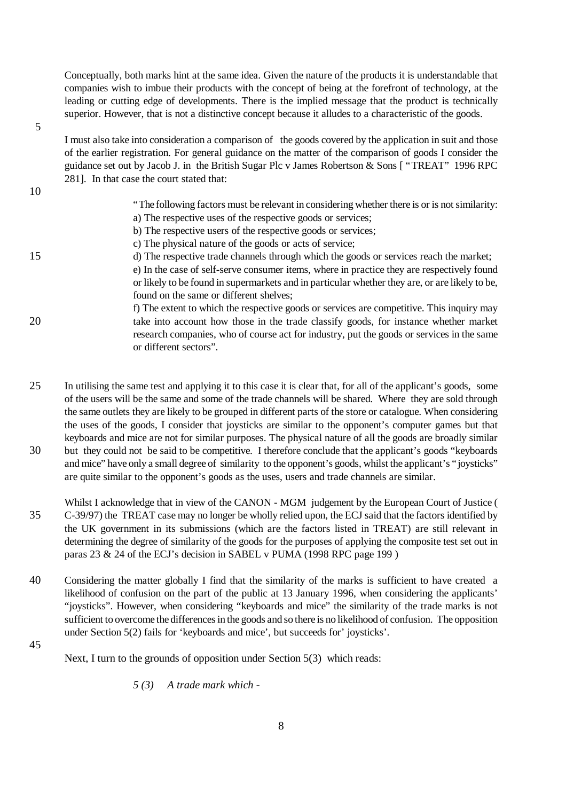Conceptually, both marks hint at the same idea. Given the nature of the products it is understandable that companies wish to imbue their products with the concept of being at the forefront of technology, at the leading or cutting edge of developments. There is the implied message that the product is technically superior. However, that is not a distinctive concept because it alludes to a characteristic of the goods.

I must also take into consideration a comparison of the goods covered by the application in suit and those of the earlier registration. For general guidance on the matter of the comparison of goods I consider the guidance set out by Jacob J. in the British Sugar Plc v James Robertson & Sons [ "TREAT" 1996 RPC 281]. In that case the court stated that:

10

5

| "The following factors must be relevant in considering whether there is or is not similarity: |  |  |  |  |
|-----------------------------------------------------------------------------------------------|--|--|--|--|
|                                                                                               |  |  |  |  |

- a) The respective uses of the respective goods or services;
- b) The respective users of the respective goods or services;
- c) The physical nature of the goods or acts of service;
- 15 d) The respective trade channels through which the goods or services reach the market;
	- e) In the case of self-serve consumer items, where in practice they are respectively found or likely to be found in supermarkets and in particular whether they are, or are likely to be, found on the same or different shelves;
- f) The extent to which the respective goods or services are competitive. This inquiry may 20 take into account how those in the trade classify goods, for instance whether market research companies, who of course act for industry, put the goods or services in the same or different sectors".
- 25 In utilising the same test and applying it to this case it is clear that, for all of the applicant's goods, some of the users will be the same and some of the trade channels will be shared. Where they are sold through the same outlets they are likely to be grouped in different parts of the store or catalogue. When considering the uses of the goods, I consider that joysticks are similar to the opponent's computer games but that keyboards and mice are not for similar purposes. The physical nature of all the goods are broadly similar 30 but they could not be said to be competitive. I therefore conclude that the applicant's goods "keyboards
- and mice" have only a small degree of similarity to the opponent's goods, whilst the applicant's "joysticks" are quite similar to the opponent's goods as the uses, users and trade channels are similar.
- Whilst I acknowledge that in view of the CANON MGM judgement by the European Court of Justice ( 35 C-39/97) the TREAT case may no longer be wholly relied upon, the ECJ said that the factors identified by the UK government in its submissions (which are the factors listed in TREAT) are still relevant in determining the degree of similarity of the goods for the purposes of applying the composite test set out in paras 23 & 24 of the ECJ's decision in SABEL v PUMA (1998 RPC page 199 )
- 40 Considering the matter globally I find that the similarity of the marks is sufficient to have created a likelihood of confusion on the part of the public at 13 January 1996, when considering the applicants' "joysticks". However, when considering "keyboards and mice" the similarity of the trade marks is not sufficient to overcome the differences in the goods and so there is no likelihood of confusion. The opposition under Section 5(2) fails for 'keyboards and mice', but succeeds for' joysticks'.
- 45

*5 (3) A trade mark which -*

Next, I turn to the grounds of opposition under Section 5(3) which reads: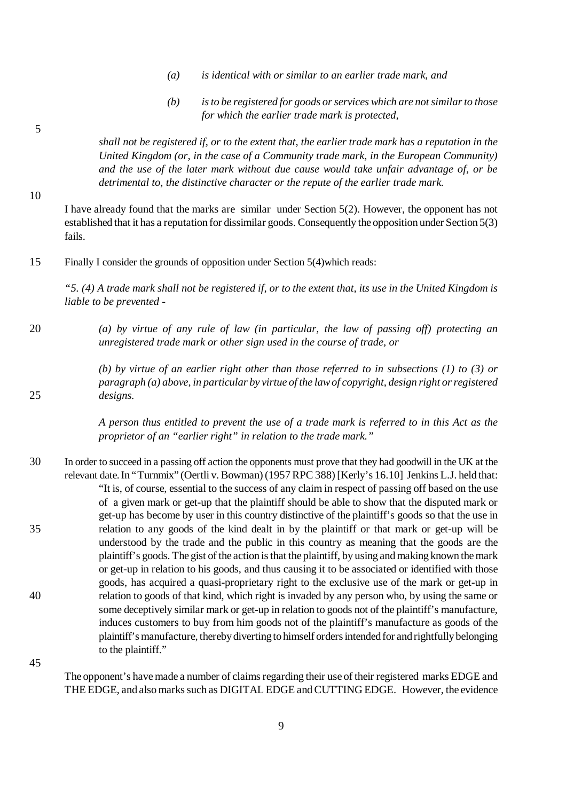- *(a) is identical with or similar to an earlier trade mark, and*
- *(b) is to be registered for goods or services which are not similar to those for which the earlier trade mark is protected,*

*shall not be registered if, or to the extent that, the earlier trade mark has a reputation in the United Kingdom (or, in the case of a Community trade mark, in the European Community) and the use of the later mark without due cause would take unfair advantage of, or be detrimental to, the distinctive character or the repute of the earlier trade mark.*

10

5

I have already found that the marks are similar under Section 5(2). However, the opponent has not established that it has a reputation for dissimilar goods. Consequently the opposition under Section 5(3) fails.

15 Finally I consider the grounds of opposition under Section 5(4)which reads:

*"5. (4) A trade mark shall not be registered if, or to the extent that, its use in the United Kingdom is liable to be prevented -*

20 *(a) by virtue of any rule of law (in particular, the law of passing off) protecting an unregistered trade mark or other sign used in the course of trade, or* 

*(b) by virtue of an earlier right other than those referred to in subsections (1) to (3) or paragraph (a) above, in particular by virtue of the law of copyright, design right or registered* 25 *designs.*

> *A person thus entitled to prevent the use of a trade mark is referred to in this Act as the proprietor of an "earlier right" in relation to the trade mark."*

- 30 In order to succeed in a passing off action the opponents must prove that they had goodwill in the UK at the relevant date. In "Turnmix" (Oertli v. Bowman) (1957 RPC 388) [Kerly's 16.10] Jenkins L.J. held that: "It is, of course, essential to the success of any claim in respect of passing off based on the use of a given mark or get-up that the plaintiff should be able to show that the disputed mark or get-up has become by user in this country distinctive of the plaintiff's goods so that the use in 35 relation to any goods of the kind dealt in by the plaintiff or that mark or get-up will be understood by the trade and the public in this country as meaning that the goods are the plaintiff's goods. The gist of the action is that the plaintiff, by using and making known the mark or get-up in relation to his goods, and thus causing it to be associated or identified with those goods, has acquired a quasi-proprietary right to the exclusive use of the mark or get-up in 40 relation to goods of that kind, which right is invaded by any person who, by using the same or some deceptively similar mark or get-up in relation to goods not of the plaintiff's manufacture, induces customers to buy from him goods not of the plaintiff's manufacture as goods of the plaintiff's manufacture, thereby diverting to himself orders intended for and rightfully belonging to the plaintiff."
- 45

The opponent's have made a number of claims regarding their use of their registered marks EDGE and THE EDGE, and also marks such as DIGITAL EDGE and CUTTING EDGE. However, the evidence